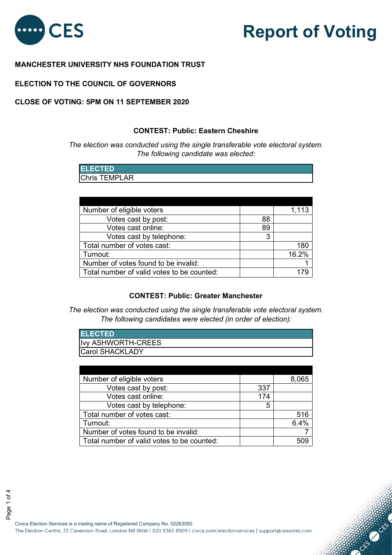

**CONTROLLER** 

# **MANCHESTER UNIVERSITY NHS FOUNDATION TRUST**

## **ELECTION TO THE COUNCIL OF GOVERNORS**

#### **CONTEST: Public: Eastern Cheshire**

| <b>ELECTED</b>       |  |  |
|----------------------|--|--|
| <b>Chris TEMPLAR</b> |  |  |

| The election was conducted using the single transferable vote electoral syste<br>The following candidate was elected:                                                                                                                     |     |          |
|-------------------------------------------------------------------------------------------------------------------------------------------------------------------------------------------------------------------------------------------|-----|----------|
| <b>ELECTED</b>                                                                                                                                                                                                                            |     |          |
| <b>Chris TEMPLAR</b>                                                                                                                                                                                                                      |     |          |
|                                                                                                                                                                                                                                           |     |          |
|                                                                                                                                                                                                                                           |     |          |
|                                                                                                                                                                                                                                           |     |          |
| Number of eligible voters                                                                                                                                                                                                                 |     | 1,113    |
| Votes cast by post:                                                                                                                                                                                                                       | 88  |          |
| Votes cast online:                                                                                                                                                                                                                        | 89  |          |
| Votes cast by telephone:                                                                                                                                                                                                                  | 3   |          |
| Total number of votes cast:                                                                                                                                                                                                               |     | 180      |
|                                                                                                                                                                                                                                           |     | 16.2%    |
| Turnout:                                                                                                                                                                                                                                  |     |          |
| Number of votes found to be invalid:                                                                                                                                                                                                      |     |          |
| Total number of valid votes to be counted:<br><b>CONTEST: Public: Greater Manchester</b><br>The election was conducted using the single transferable vote electoral syst<br>The following candidates were elected (in order of election): |     | 179      |
|                                                                                                                                                                                                                                           |     |          |
| <b>ELECTED</b>                                                                                                                                                                                                                            |     |          |
| Ivy ASHWORTH-CREES                                                                                                                                                                                                                        |     |          |
| Carol SHACKLADY                                                                                                                                                                                                                           |     |          |
|                                                                                                                                                                                                                                           |     |          |
| Number of eligible voters                                                                                                                                                                                                                 |     | 8,065    |
| Votes cast by post:                                                                                                                                                                                                                       | 337 |          |
| Votes cast online:                                                                                                                                                                                                                        | 174 |          |
| Votes cast by telephone:                                                                                                                                                                                                                  | 5   |          |
| Total number of votes cast:                                                                                                                                                                                                               |     | 516      |
| Turnout:                                                                                                                                                                                                                                  |     | 6.4%     |
| Number of votes found to be invalid:<br>Total number of valid votes to be counted:                                                                                                                                                        |     | 7<br>509 |

## **CONTEST: Public: Greater Manchester**

| <b>ELECTED</b>            |  |
|---------------------------|--|
| <b>Ivy ASHWORTH-CREES</b> |  |
| <b>ICarol SHACKLADY</b>   |  |

| Number of eligible voters                  |     | 8.065 |
|--------------------------------------------|-----|-------|
| Votes cast by post:                        | 337 |       |
| Votes cast online:                         | 174 |       |
| Votes cast by telephone:                   | 5   |       |
| Total number of votes cast:                |     | 516   |
| Turnout:                                   |     | 6.4%  |
| Number of votes found to be invalid:       |     |       |
| Total number of valid votes to be counted: |     |       |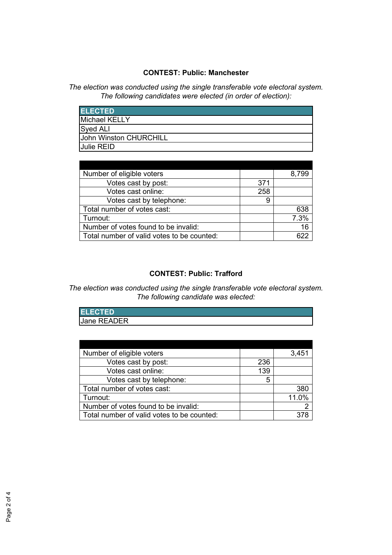## **CONTEST: Public: Manchester**

*The election was conducted using the single transferable vote electoral system. The following candidates were elected (in order of election):*

| <b>ELECTED</b>                |
|-------------------------------|
| Michael KELLY                 |
| Syed ALI                      |
| <b>John Winston CHURCHILL</b> |
| <b>Julie REID</b>             |

| Number of eligible voters                  |     | 8.799 |
|--------------------------------------------|-----|-------|
| Votes cast by post:                        | 371 |       |
| Votes cast online:                         | 258 |       |
| Votes cast by telephone:                   | 9   |       |
| Total number of votes cast:                |     | 638   |
| Turnout:                                   |     | 7.3%  |
| Number of votes found to be invalid:       |     | 16    |
| Total number of valid votes to be counted: |     | 622   |

# **CONTEST: Public: Trafford**

## *The election was conducted using the single transferable vote electoral system. The following candidate was elected:*

| <b>ELECTED</b> |  |
|----------------|--|
| Jane READER    |  |

| Number of eligible voters                  |     | 3,451 |
|--------------------------------------------|-----|-------|
| Votes cast by post:                        | 236 |       |
| Votes cast online:                         | 139 |       |
| Votes cast by telephone:                   | 5   |       |
| Total number of votes cast:                |     | 380   |
| Turnout:                                   |     | 11.0% |
| Number of votes found to be invalid:       |     |       |
| Total number of valid votes to be counted: |     |       |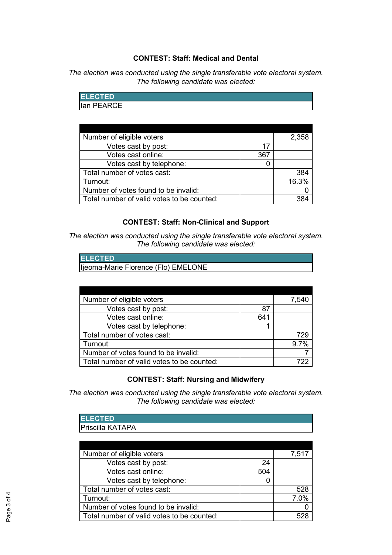## **CONTEST: Staff: Medical and Dental**

*The election was conducted using the single transferable vote electoral system. The following candidate was elected:*

| <b>ELECTED</b> |  |  |
|----------------|--|--|
| Ian PEARCE     |  |  |

| Number of eligible voters                  |     | 2,358 |
|--------------------------------------------|-----|-------|
| Votes cast by post:                        | 17  |       |
| Votes cast online:                         | 367 |       |
| Votes cast by telephone:                   |     |       |
| Total number of votes cast:                |     | 384   |
| Turnout:                                   |     | 16.3% |
| Number of votes found to be invalid:       |     |       |
| Total number of valid votes to be counted: |     |       |

### **CONTEST: Staff: Non-Clinical and Support**

*The election was conducted using the single transferable vote electoral system. The following candidate was elected:*

| <b>IELECTED</b>                      |
|--------------------------------------|
| lijeoma-Marie Florence (Flo) EMELONE |

| Number of eligible voters                  |     | 7,540 |
|--------------------------------------------|-----|-------|
| Votes cast by post:                        | 87  |       |
| Votes cast online:                         | 641 |       |
| Votes cast by telephone:                   |     |       |
| Total number of votes cast:                |     | 729   |
| Turnout:                                   |     | 9.7%  |
| Number of votes found to be invalid:       |     |       |
| Total number of valid votes to be counted: |     | 722   |

## **CONTEST: Staff: Nursing and Midwifery**

*The election was conducted using the single transferable vote electoral system. The following candidate was elected:*

| <b>IELECTED</b>         |  |
|-------------------------|--|
| <b>Priscilla KATAPA</b> |  |

| Number of eligible voters                  |     | 7,517 |
|--------------------------------------------|-----|-------|
| Votes cast by post:                        | 24  |       |
| Votes cast online:                         | 504 |       |
| Votes cast by telephone:                   |     |       |
| Total number of votes cast:                |     | 528   |
| Turnout:                                   |     | 7.0%  |
| Number of votes found to be invalid:       |     |       |
| Total number of valid votes to be counted: |     | 528   |